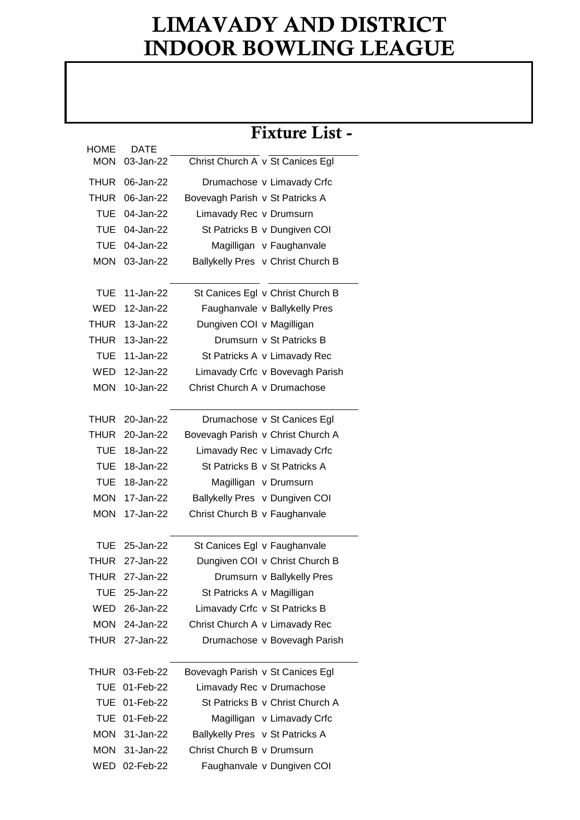## LIMAVADY AND DISTRICT INDOOR BOWLING LEAGUE

|             |                |                                 | Fixture List -                    |
|-------------|----------------|---------------------------------|-----------------------------------|
| HOME        | <b>DATE</b>    |                                 |                                   |
| <b>MON</b>  | 03-Jan-22      |                                 | Christ Church A v St Canices Egl  |
| <b>THUR</b> | 06-Jan-22      |                                 | Drumachose v Limavady Crfc        |
| <b>THUR</b> | 06-Jan-22      | Bovevagh Parish v St Patricks A |                                   |
| TUE         | 04-Jan-22      | Limavady Rec v Drumsurn         |                                   |
| TUE         | 04-Jan-22      |                                 | St Patricks B v Dungiven COI      |
| <b>TUE</b>  | 04-Jan-22      |                                 | Magilligan v Faughanvale          |
|             | MON 03-Jan-22  |                                 | Ballykelly Pres v Christ Church B |
|             |                |                                 |                                   |
| TUE         | 11-Jan-22      |                                 | St Canices Egl v Christ Church B  |
| WED         | 12-Jan-22      |                                 | Faughanvale v Ballykelly Pres     |
| <b>THUR</b> | 13-Jan-22      | Dungiven COI v Magilligan       |                                   |
| <b>THUR</b> | 13-Jan-22      |                                 | Drumsurn v St Patricks B          |
| TUE         | 11-Jan-22      |                                 | St Patricks A v Limavady Rec      |
| WED         | 12-Jan-22      |                                 | Limavady Crfc v Bovevagh Parish   |
| <b>MON</b>  | 10-Jan-22      | Christ Church A v Drumachose    |                                   |
|             |                |                                 |                                   |
| <b>THUR</b> | 20-Jan-22      |                                 | Drumachose v St Canices Egl       |
| THUR        | 20-Jan-22      |                                 | Bovevagh Parish v Christ Church A |
| TUE         | 18-Jan-22      |                                 | Limavady Rec v Limavady Crfc      |
| <b>TUE</b>  | 18-Jan-22      |                                 | St Patricks B v St Patricks A     |
| <b>TUE</b>  | 18-Jan-22      |                                 | Magilligan v Drumsurn             |
| <b>MON</b>  | 17-Jan-22      |                                 | Ballykelly Pres v Dungiven COI    |
| <b>MON</b>  | 17-Jan-22      | Christ Church B v Faughanvale   |                                   |
|             |                |                                 |                                   |
| <b>TUE</b>  | 25-Jan-22      |                                 | St Canices Egl v Faughanvale      |
|             | THUR 27-Jan-22 |                                 | Dungiven COI v Christ Church B    |
|             | THUR 27-Jan-22 |                                 | Drumsurn v Ballykelly Pres        |
| TUE         | 25-Jan-22      | St Patricks A v Magilligan      |                                   |
|             | WED 26-Jan-22  |                                 | Limavady Crfc v St Patricks B     |
|             | MON 24-Jan-22  |                                 | Christ Church A v Limavady Rec    |
|             | THUR 27-Jan-22 |                                 | Drumachose v Bovevagh Parish      |
|             |                |                                 |                                   |
|             | THUR 03-Feb-22 |                                 | Bovevagh Parish v St Canices Egl  |
|             | TUE 01-Feb-22  |                                 | Limavady Rec v Drumachose         |
|             | TUE 01-Feb-22  |                                 | St Patricks B v Christ Church A   |
|             | TUE 01-Feb-22  |                                 | Magilligan v Limavady Crfc        |
|             | MON 31-Jan-22  | Ballykelly Pres v St Patricks A |                                   |
|             | MON 31-Jan-22  | Christ Church B v Drumsurn      |                                   |
|             | WED 02-Feb-22  |                                 | Faughanvale v Dungiven COI        |